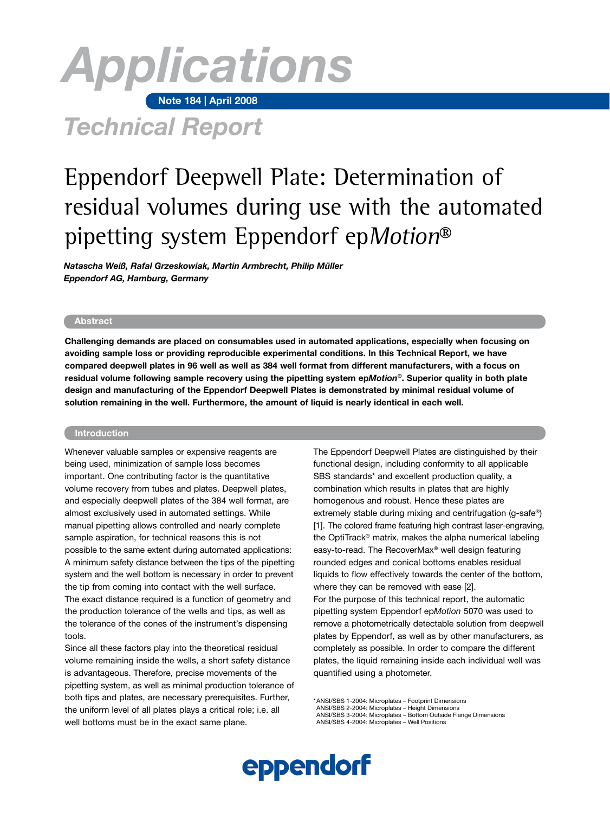# **Note 184 | April 2008** *Applications*

# *Technical Report*

# Eppendorf Deepwell Plate: Determination of residual volumes during use with the automated pipetting system Eppendorf epMotion®

*Natascha Weiß, Rafal Grzeskowiak, Martin Armbrecht, Philip Müller Eppendorf AG, Hamburg, Germany*

# **Abstract**

**Challenging demands are placed on consumables used in automated applications, especially when focusing on avoiding sample loss or providing reproducible experimental conditions. In this Technical Report, we have compared deepwell plates in 96 well as well as 384 well format from different manufacturers, with a focus on residual volume following sample recovery using the pipetting system ep***Motion***®. Superior quality in both plate design and manufacturing of the Eppendorf Deepwell Plates is demonstrated by minimal residual volume of solution remaining in the well. Furthermore, the amount of liquid is nearly identical in each well.**

### **Introduction**

Whenever valuable samples or expensive reagents are being used, minimization of sample loss becomes important. One contributing factor is the quantitative volume recovery from tubes and plates. Deepwell plates, and especially deepwell plates of the 384 well format, are almost exclusively used in automated settings. While manual pipetting allows controlled and nearly complete sample aspiration, for technical reasons this is not possible to the same extent during automated applications: A minimum safety distance between the tips of the pipetting system and the well bottom is necessary in order to prevent the tip from coming into contact with the well surface. The exact distance required is a function of geometry and the production tolerance of the wells and tips, as well as the tolerance of the cones of the instrument's dispensing tools.

Since all these factors play into the theoretical residual volume remaining inside the wells, a short safety distance is advantageous. Therefore, precise movements of the pipetting system, as well as minimal production tolerance of both tips and plates, are necessary prerequisites. Further, the uniform level of all plates plays a critical role; i.e. all well bottoms must be in the exact same plane.

The Eppendorf Deepwell Plates are distinguished by their functional design, including conformity to all applicable SBS standards\* and excellent production quality, a combination which results in plates that are highly homogenous and robust. Hence these plates are extremely stable during mixing and centrifugation (g-safe®) [1]. The colored frame featuring high contrast laser-engraving, the OptiTrack® matrix, makes the alpha numerical labeling easy-to-read. The RecoverMax® well design featuring rounded edges and conical bottoms enables residual liquids to flow effectively towards the center of the bottom, where they can be removed with ease [2]. For the purpose of this technical report, the automatic pipetting system Eppendorf ep*Motion* 5070 was used to remove a photometrically detectable solution from deepwell plates by Eppendorf, as well as by other manufacturers, as completely as possible. In order to compare the different plates, the liquid remaining inside each individual well was quantified using a photometer.

\*ANSI/SBS 1-2004: Microplates – Footprint Dimensions ANSI/SBS 2-2004: Microplates – Height Dimensions ANSI/SBS 3-2004: Microplates – Bottom Outside Flange Dimensions ANSI/SBS 4-2004: Microplates – Well Positions

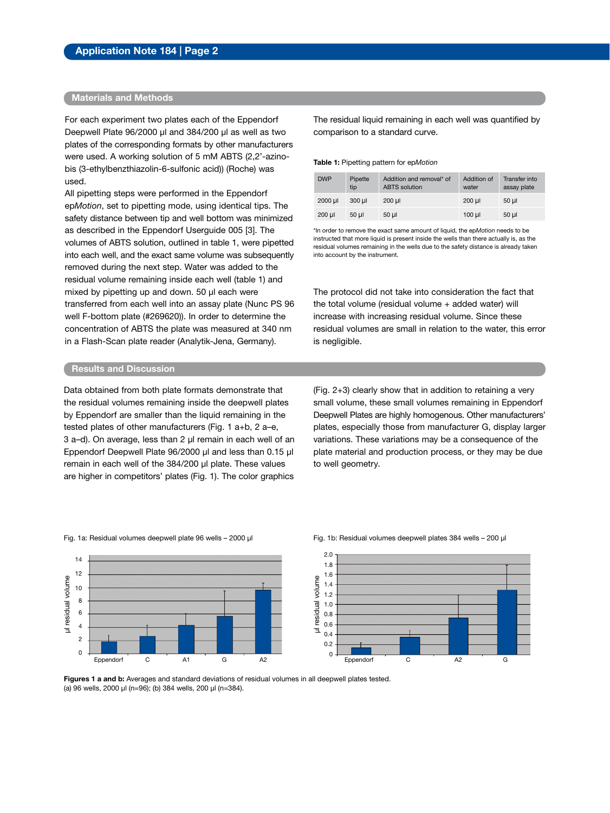# **Materials and Methods**

For each experiment two plates each of the Eppendorf Deepwell Plate 96/2000 µl and 384/200 µl as well as two plates of the corresponding formats by other manufacturers were used. A working solution of 5 mM ABTS (2,2'-azinobis (3-ethylbenzthiazolin-6-sulfonic acid)) (Roche) was used.

All pipetting steps were performed in the Eppendorf ep*Motion*, set to pipetting mode, using identical tips. The safety distance between tip and well bottom was minimized as described in the Eppendorf Userguide 005 [3]. The volumes of ABTS solution, outlined in table 1, were pipetted into each well, and the exact same volume was subsequently removed during the next step. Water was added to the residual volume remaining inside each well (table 1) and mixed by pipetting up and down. 50 µl each were transferred from each well into an assay plate (Nunc PS 96 well F-bottom plate (#269620)). In order to determine the concentration of ABTS the plate was measured at 340 nm in a Flash-Scan plate reader (Analytik-Jena, Germany).

The residual liquid remaining in each well was quantified by comparison to a standard curve.

**Table 1:** Pipetting pattern for ep*Motion*

| <b>DWP</b> | Pipette<br>tip | Addition and removal* of<br><b>ABTS</b> solution | Addition of<br>water | Transfer into<br>assay plate |
|------------|----------------|--------------------------------------------------|----------------------|------------------------------|
| 2000 µl    | 300 ul         | 200 ul                                           | $200$ $\mu$          | 50 ul                        |
| 200 µl     | 50 ul          | $50 \mu$                                         | $100 \mu$            | $50 \mu$                     |

\*In order to remove the exact same amount of liquid, the ep*Motion* needs to be instructed that more liquid is present inside the wells than there actually is, as the residual volumes remaining in the wells due to the safety distance is already taken into account by the instrument.

The protocol did not take into consideration the fact that the total volume (residual volume + added water) will increase with increasing residual volume. Since these residual volumes are small in relation to the water, this error is negligible.

# **Results and Discussion**

Data obtained from both plate formats demonstrate that the residual volumes remaining inside the deepwell plates by Eppendorf are smaller than the liquid remaining in the tested plates of other manufacturers (Fig. 1 a+b, 2 a–e, 3 a–d). On average, less than 2 µl remain in each well of an Eppendorf Deepwell Plate 96/2000 µl and less than 0.15 µl remain in each well of the 384/200 µl plate. These values are higher in competitors' plates (Fig. 1). The color graphics

(Fig. 2+3) clearly show that in addition to retaining a very small volume, these small volumes remaining in Eppendorf Deepwell Plates are highly homogenous. Other manufacturers' plates, especially those from manufacturer G, display larger variations. These variations may be a consequence of the plate material and production process, or they may be due to well geometry.

#### Fig. 1a: Residual volumes deepwell plate 96 wells – 2000 µl Fig. 1b: Residual volumes deepwell plates 384 wells – 200 µl





**Figures 1 a and b:** Averages and standard deviations of residual volumes in all deepwell plates tested. (a) 96 wells, 2000 µl (n=96); (b) 384 wells, 200 µl (n=384).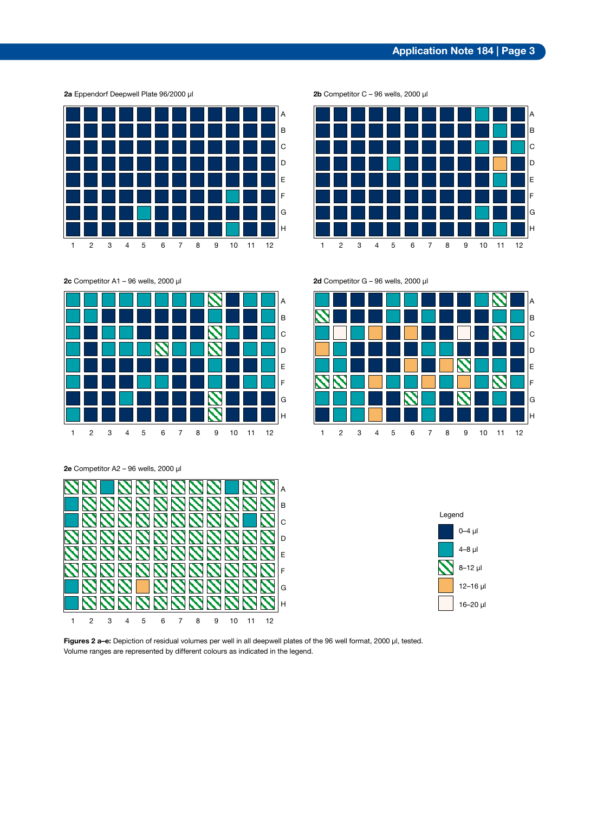

**2a** Eppendorf Deepwell Plate 96/2000 µl

**2c** Competitor A1 – 96 wells, 2000 µl **2d** Competitor G – 96 wells, 2000 µl





Figures 2 a-e: Depiction of residual volumes per well in all deepwell plates of the 96 well format, 2000 µl, tested. Volume ranges are represented by different colours as indicated in the legend.





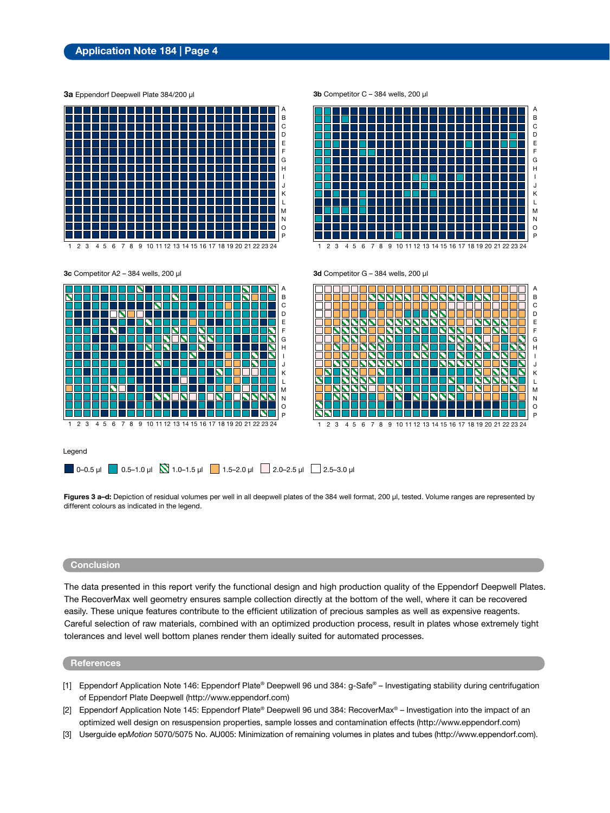# **Application Note 184 | Page 4**

**3a** Eppendorf Deepwell Plate 384/200 µl

A B  $\mathcal{C}$ D E F G H I J K L M N l o P

10 11 12 13 14 15 16 17 18 19 20 21 22 23 24





**3c** Competitor A2 – 384 wells, 200 µl **3d** Competitor G – 384 wells, 200 µl



#### Legend



**Figures 3 a–d:** Depiction of residual volumes per well in all deepwell plates of the 384 well format, 200 µl, tested. Volume ranges are represented by different colours as indicated in the legend.

# **Conclusion**

The data presented in this report verify the functional design and high production quality of the Eppendorf Deepwell Plates. The RecoverMax well geometry ensures sample collection directly at the bottom of the well, where it can be recovered easily. These unique features contribute to the efficient utilization of precious samples as well as expensive reagents. Careful selection of raw materials, combined with an optimized production process, result in plates whose extremely tight tolerances and level well bottom planes render them ideally suited for automated processes.

# **References**

- [1] Eppendorf Application Note 146: Eppendorf Plate® Deepwell 96 und 384: g-Safe® Investigating stability during centrifugation of Eppendorf Plate Deepwell (http://www.eppendorf.com)
- [2] Eppendorf Application Note 145: Eppendorf Plate® Deepwell 96 und 384: RecoverMax® Investigation into the impact of an optimized well design on resuspension properties, sample losses and contamination effects (http://www.eppendorf.com)
- [3] Userguide ep*Motion* 5070/5075 No. AU005: Minimization of remaining volumes in plates and tubes (http://www.eppendorf.com).

#### **3b** Competitor C – 384 wells, 200 µl